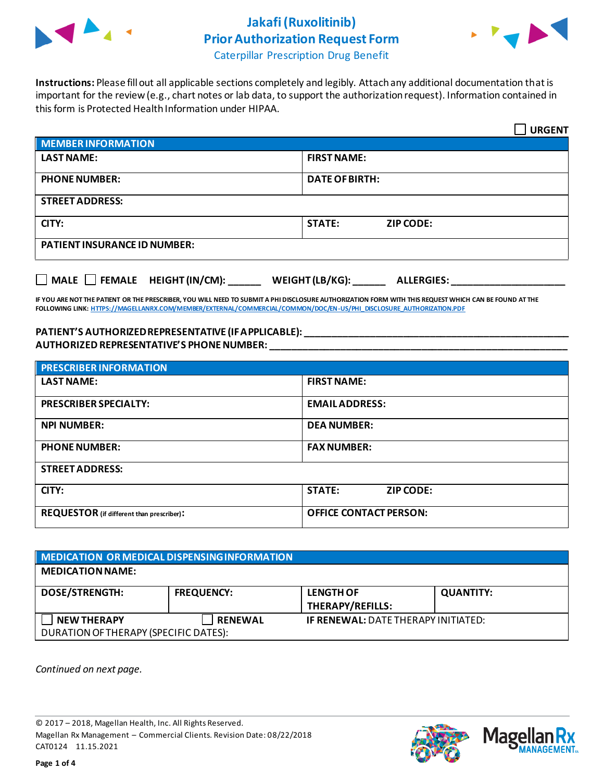

## **Jakafi(Ruxolitinib) Prior Authorization Request Form**



Caterpillar Prescription Drug Benefit

**Instructions:** Please fill out all applicable sections completely and legibly. Attach any additional documentation that is important for the review (e.g., chart notes or lab data, to support the authorization request). Information contained in this form is Protected Health Information under HIPAA.

|                                                                                   | <b>URGENT</b>                     |  |  |
|-----------------------------------------------------------------------------------|-----------------------------------|--|--|
| <b>MEMBER INFORMATION</b>                                                         |                                   |  |  |
| <b>LAST NAME:</b>                                                                 | <b>FIRST NAME:</b>                |  |  |
| <b>PHONE NUMBER:</b>                                                              | <b>DATE OF BIRTH:</b>             |  |  |
| <b>STREET ADDRESS:</b>                                                            |                                   |  |  |
| CITY:                                                                             | <b>STATE:</b><br><b>ZIP CODE:</b> |  |  |
| <b>PATIENT INSURANCE ID NUMBER:</b>                                               |                                   |  |  |
| $\Box$ MALE $\Box$ FEMALE HEIGHT (IN/CM):<br>WEIGHT (LB/KG):<br><b>ALLERGIES:</b> |                                   |  |  |

**IF YOU ARE NOT THE PATIENT OR THE PRESCRIBER, YOU WILL NEED TO SUBMIT A PHI DISCLOSURE AUTHORIZATION FORM WITH THIS REQUEST WHICH CAN BE FOUND AT THE FOLLOWING LINK[: HTTPS://MAGELLANRX.COM/MEMBER/EXTERNAL/COMMERCIAL/COMMON/DOC/EN-US/PHI\\_DISCLOSURE\\_AUTHORIZATION.PDF](https://magellanrx.com/member/external/commercial/common/doc/en-us/PHI_Disclosure_Authorization.pdf)**

**PATIENT'S AUTHORIZED REPRESENTATIVE (IF APPLICABLE): \_\_\_\_\_\_\_\_\_\_\_\_\_\_\_\_\_\_\_\_\_\_\_\_\_\_\_\_\_\_\_\_\_\_\_\_\_\_\_\_\_\_\_\_\_\_\_\_\_ AUTHORIZED REPRESENTATIVE'S PHONE NUMBER: \_\_\_\_\_\_\_\_\_\_\_\_\_\_\_\_\_\_\_\_\_\_\_\_\_\_\_\_\_\_\_\_\_\_\_\_\_\_\_\_\_\_\_\_\_\_\_\_\_\_\_\_\_\_\_**

| <b>PRESCRIBER INFORMATION</b>             |                                   |  |  |
|-------------------------------------------|-----------------------------------|--|--|
| <b>LAST NAME:</b>                         | <b>FIRST NAME:</b>                |  |  |
| <b>PRESCRIBER SPECIALTY:</b>              | <b>EMAIL ADDRESS:</b>             |  |  |
| <b>NPI NUMBER:</b>                        | <b>DEA NUMBER:</b>                |  |  |
| <b>PHONE NUMBER:</b>                      | <b>FAX NUMBER:</b>                |  |  |
| <b>STREET ADDRESS:</b>                    |                                   |  |  |
| CITY:                                     | <b>STATE:</b><br><b>ZIP CODE:</b> |  |  |
| REQUESTOR (if different than prescriber): | <b>OFFICE CONTACT PERSON:</b>     |  |  |

| MEDICATION OR MEDICAL DISPENSING INFORMATION                |                   |                                             |                  |  |  |
|-------------------------------------------------------------|-------------------|---------------------------------------------|------------------|--|--|
| <b>MEDICATION NAME:</b>                                     |                   |                                             |                  |  |  |
| <b>DOSE/STRENGTH:</b>                                       | <b>FREQUENCY:</b> | <b>LENGTH OF</b><br><b>THERAPY/REFILLS:</b> | <b>QUANTITY:</b> |  |  |
| <b>NEW THERAPY</b><br>DURATION OF THERAPY (SPECIFIC DATES): | <b>RENEWAL</b>    | <b>IF RENEWAL: DATE THERAPY INITIATED:</b>  |                  |  |  |

*Continued on next page.*

© 2017 – 2018, Magellan Health, Inc. All Rights Reserved. Magellan Rx Management – Commercial Clients. Revision Date: 08/22/2018 CAT0124 11.15.2021

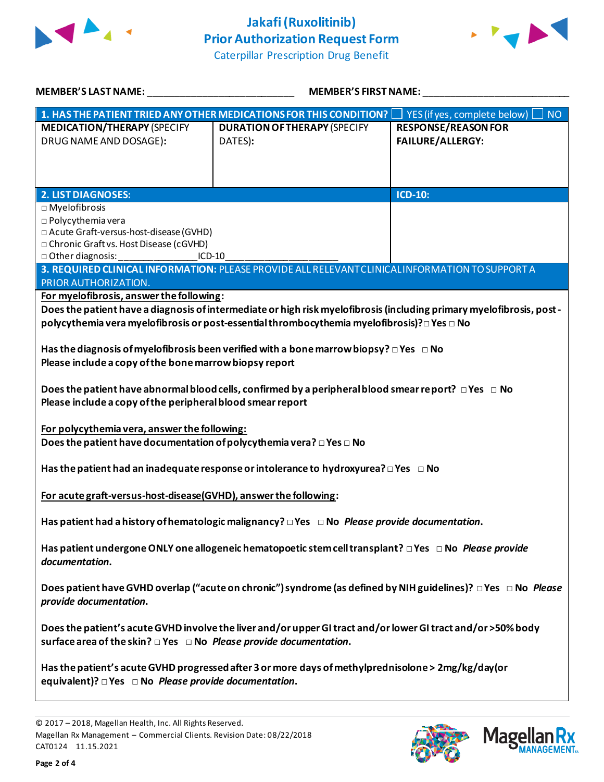



| <b>MEMBER'S LAST NAME:</b>                                                                                       | <b>MEMBER'S FIRST NAME:</b>                                                                                          |                                        |  |  |
|------------------------------------------------------------------------------------------------------------------|----------------------------------------------------------------------------------------------------------------------|----------------------------------------|--|--|
| $\mid$ 1. HAS THE PATIENT TRIED ANY OTHER MEDICATIONS FOR THIS CONDITION? $\mid\;\;\;\;\;$                       |                                                                                                                      | YES (if yes, complete below) $\Box$ NO |  |  |
| <b>MEDICATION/THERAPY (SPECIFY</b>                                                                               | <b>DURATION OF THERAPY (SPECIFY</b>                                                                                  | <b>RESPONSE/REASON FOR</b>             |  |  |
| DRUG NAME AND DOSAGE):                                                                                           | DATES):                                                                                                              | <b>FAILURE/ALLERGY:</b>                |  |  |
|                                                                                                                  |                                                                                                                      |                                        |  |  |
|                                                                                                                  |                                                                                                                      |                                        |  |  |
| <b>2. LIST DIAGNOSES:</b>                                                                                        |                                                                                                                      | <b>ICD-10:</b>                         |  |  |
| $\square$ Myelofibrosis                                                                                          |                                                                                                                      |                                        |  |  |
| □ Polycythemia vera                                                                                              |                                                                                                                      |                                        |  |  |
| □ Acute Graft-versus-host-disease (GVHD)                                                                         |                                                                                                                      |                                        |  |  |
| □ Chronic Graft vs. Host Disease (cGVHD)                                                                         |                                                                                                                      |                                        |  |  |
| □ Other diagnosis:<br>$ICD-10$                                                                                   |                                                                                                                      |                                        |  |  |
| 3. REQUIRED CLINICAL INFORMATION: PLEASE PROVIDE ALL RELEVANT CLINICAL INFORMATION TO SUPPORT A                  |                                                                                                                      |                                        |  |  |
| PRIOR AUTHORIZATION.                                                                                             |                                                                                                                      |                                        |  |  |
| For myelofibrosis, answer the following:                                                                         |                                                                                                                      |                                        |  |  |
|                                                                                                                  | Does the patient have a diagnosis of intermediate or high risk myelofibrosis (including primary myelofibrosis, post- |                                        |  |  |
|                                                                                                                  | polycythemia vera myelofibrosis or post-essential thrombocythemia myelofibrosis)? $\Box$ Yes $\Box$ No               |                                        |  |  |
|                                                                                                                  |                                                                                                                      |                                        |  |  |
|                                                                                                                  | Has the diagnosis of myelofibrosis been verified with a bone marrow biopsy? $\Box$ Yes $\Box$ No                     |                                        |  |  |
| Please include a copy of the bone marrow biopsy report                                                           |                                                                                                                      |                                        |  |  |
|                                                                                                                  |                                                                                                                      |                                        |  |  |
|                                                                                                                  | Does the patient have abnormal blood cells, confirmed by a peripheral blood smear report? $\Box$ Yes $\Box$ No       |                                        |  |  |
| Please include a copy of the peripheral blood smear report                                                       |                                                                                                                      |                                        |  |  |
|                                                                                                                  |                                                                                                                      |                                        |  |  |
| For polycythemia vera, answer the following:                                                                     |                                                                                                                      |                                        |  |  |
| Does the patient have documentation of polycythemia vera? $\square$ Yes $\square$ No                             |                                                                                                                      |                                        |  |  |
|                                                                                                                  |                                                                                                                      |                                        |  |  |
|                                                                                                                  |                                                                                                                      |                                        |  |  |
| Has the patient had an inadequate response or intolerance to hydroxyurea? $\Box$ Yes $\Box$ No                   |                                                                                                                      |                                        |  |  |
|                                                                                                                  |                                                                                                                      |                                        |  |  |
| For acute graft-versus-host-disease(GVHD), answer the following:                                                 |                                                                                                                      |                                        |  |  |
|                                                                                                                  |                                                                                                                      |                                        |  |  |
| Has patient had a history of hematologic malignancy? $\Box$ Yes $\Box$ No Please provide documentation.          |                                                                                                                      |                                        |  |  |
|                                                                                                                  |                                                                                                                      |                                        |  |  |
| Has patient undergone ONLY one allogeneic hematopoetic stem cell transplant? $\Box$ Yes $\Box$ No Please provide |                                                                                                                      |                                        |  |  |
| documentation.                                                                                                   |                                                                                                                      |                                        |  |  |
|                                                                                                                  |                                                                                                                      |                                        |  |  |
| Does patient have GVHD overlap ("acute on chronic") syndrome (as defined by NIH guidelines)? □ Yes □ No Please   |                                                                                                                      |                                        |  |  |
| provide documentation.                                                                                           |                                                                                                                      |                                        |  |  |
|                                                                                                                  |                                                                                                                      |                                        |  |  |
| Does the patient's acute GVHD involve the liver and/or upper GI tract and/or lower GI tract and/or >50% body     |                                                                                                                      |                                        |  |  |
| surface area of the skin? $\Box$ Yes $\Box$ No Please provide documentation.                                     |                                                                                                                      |                                        |  |  |
|                                                                                                                  |                                                                                                                      |                                        |  |  |
| Has the patient's acute GVHD progressed after 3 or more days of methylprednisolone > 2mg/kg/day(or               |                                                                                                                      |                                        |  |  |
| equivalent)? $\Box$ Yes $\Box$ No <i>Please provide documentation</i> .                                          |                                                                                                                      |                                        |  |  |
|                                                                                                                  |                                                                                                                      |                                        |  |  |



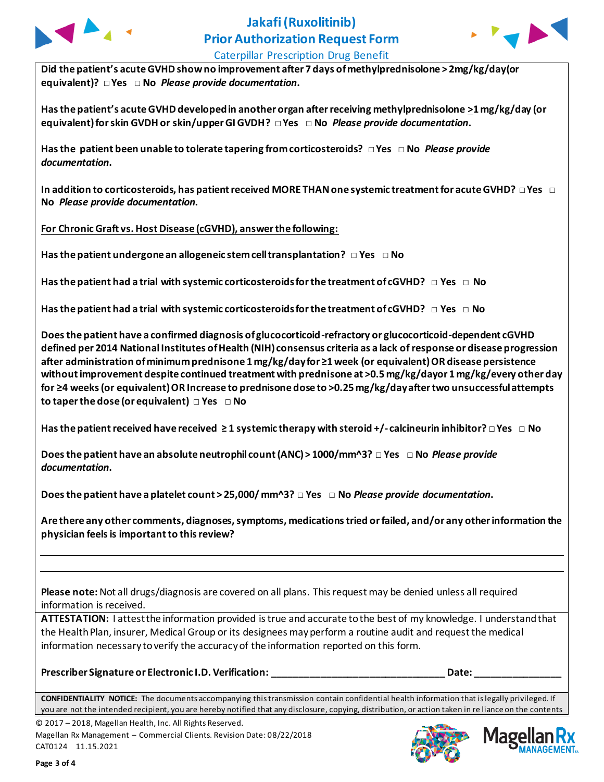



Caterpillar Prescription Drug Benefit

**Did the patient's acute GVHD showno improvement after 7 days of methylprednisolone > 2mg/kg/day(or equivalent)? □ Yes □ No** *Please provide documentation***.**

**Has the patient's acute GVHD developed in another organ after receiving methylprednisolone >1 mg/kg/day (or equivalent) for skin GVDH or skin/upper GI GVDH? □ Yes □ No** *Please provide documentation***.**

**Has the patient been unable to tolerate tapering from corticosteroids? □ Yes □ No** *Please provide documentation***.**

**In addition to corticosteroids, has patient received MORE THAN one systemic treatment for acute GVHD? □ Yes □ No** *Please provide documentation***.**

**For Chronic Graft vs. Host Disease (cGVHD), answer the following:**

**Has the patient undergone an allogeneic stem cell transplantation? □ Yes □ No**

**Has the patient had a trial with systemic corticosteroids for the treatment of cGVHD? □ Yes □ No**

**Has the patient had a trial with systemic corticosteroids for the treatment of cGVHD? □ Yes □ No**

**Does the patient have a confirmed diagnosis of glucocorticoid-refractory or glucocorticoid-dependent cGVHD defined per 2014 National Institutes of Health (NIH) consensus criteria as a lack of response or disease progression after administration of minimum prednisone 1 mg/kg/day for ≥1 week (or equivalent) OR disease persistence without improvement despite continued treatment with prednisone at >0.5 mg/kg/dayor 1 mg/kg/every other day for ≥4 weeks (or equivalent) OR Increase to prednisone dose to >0.25 mg/kg/day after two unsuccessful attempts to taper the dose (or equivalent) □ Yes □ No**

**Has the patient received have received ≥ 1 systemic therapy with steroid +/- calcineurin inhibitor? □ Yes □ No**

**Does the patient have an absolute neutrophil count (ANC) > 1000/mm^3? □ Yes □ No** *Please provide documentation***.**

**Does the patient have a platelet count > 25,000/ mm^3? □ Yes □ No** *Please provide documentation***.**

**Are there any other comments, diagnoses, symptoms, medications tried or failed, and/or any other information the physician feels is important to this review?**

**Please note:** Not all drugs/diagnosis are covered on all plans. This request may be denied unless all required information is received.

**ATTESTATION:** I attest the information provided is true and accurate to the best of my knowledge. I understand that the Health Plan, insurer, Medical Group or its designees may perform a routine audit and request the medical information necessary to verify the accuracy of the information reported on this form.

**Prescriber Signature or Electronic I.D. Verification: \_\_\_\_\_\_\_\_\_\_\_\_\_\_\_\_\_\_\_\_\_\_\_\_\_\_\_\_\_\_\_\_ Date: \_\_\_\_\_\_\_\_\_\_\_\_\_\_\_\_**

**CONFIDENTIALITY NOTICE:** The documents accompanying this transmission contain confidential health information that is legally privileged. If you are not the intended recipient, you are hereby notified that any disclosure, copying, distribution, or action taken in re liance on the contents

© 2017 – 2018, Magellan Health, Inc. All Rights Reserved. Magellan Rx Management – Commercial Clients. Revision Date: 08/22/2018 CAT0124 11.15.2021